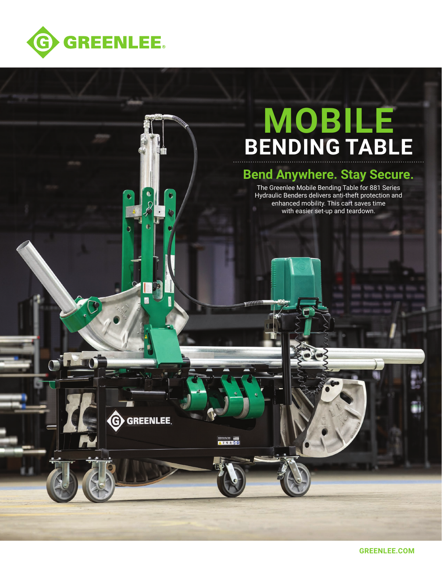

# **MOBILE BENDING TABLE**

## **Bend Anywhere. Stay Secure.**

The Greenlee Mobile Bending Table for 881 Series Hydraulic Benders delivers anti-theft protection and enhanced mobility. This cart saves time with easier set-up and teardown.

G GREENLEE.

 $\bullet$ 

**AFRACO** 

**GREENLEE.COM**